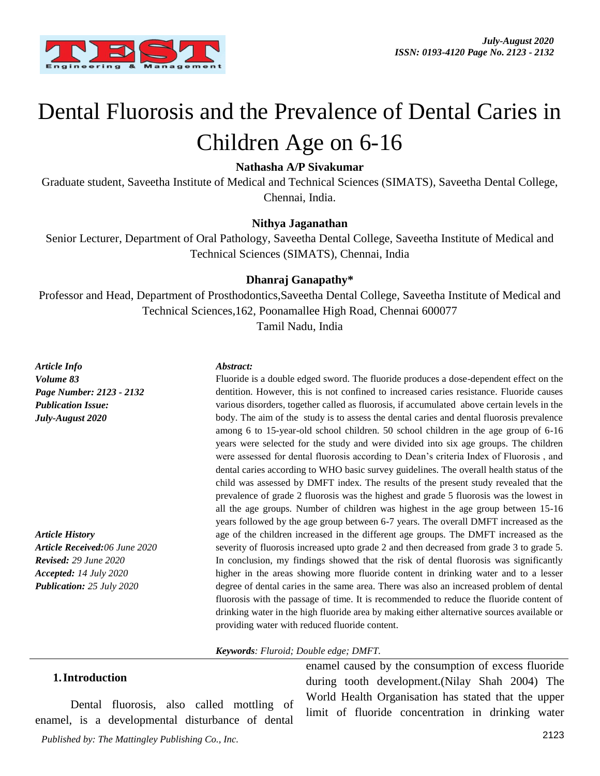

# Dental Fluorosis and the Prevalence of Dental Caries in Children Age on 6-16

**Nathasha A/P Sivakumar**

Graduate student, Saveetha Institute of Medical and Technical Sciences (SIMATS), Saveetha Dental College, Chennai, India.

## **Nithya Jaganathan**

Senior Lecturer, Department of Oral Pathology, Saveetha Dental College, Saveetha Institute of Medical and Technical Sciences (SIMATS), Chennai, India

## **Dhanraj Ganapathy\***

Professor and Head, Department of Prosthodontics,Saveetha Dental College, Saveetha Institute of Medical and Technical Sciences,162, Poonamallee High Road, Chennai 600077 Tamil Nadu, India

*Article Info Volume 83 Page Number: 2123 - 2132 Publication Issue: July-August 2020*

*Article History Article Received:06 June 2020 Revised: 29 June 2020 Accepted: 14 July 2020 Publication: 25 July 2020*

#### *Abstract:*

Fluoride is a double edged sword. The fluoride produces a dose-dependent effect on the dentition. However, this is not confined to increased caries resistance. Fluoride causes various disorders, together called as fluorosis, if accumulated above certain levels in the body. The aim of the study is to assess the dental caries and dental fluorosis prevalence among 6 to 15-year-old school children. 50 school children in the age group of 6-16 years were selected for the study and were divided into six age groups. The children were assessed for dental fluorosis according to Dean"s criteria Index of Fluorosis , and dental caries according to WHO basic survey guidelines. The overall health status of the child was assessed by DMFT index. The results of the present study revealed that the prevalence of grade 2 fluorosis was the highest and grade 5 fluorosis was the lowest in all the age groups. Number of children was highest in the age group between 15-16 years followed by the age group between 6-7 years. The overall DMFT increased as the age of the children increased in the different age groups. The DMFT increased as the severity of fluorosis increased upto grade 2 and then decreased from grade 3 to grade 5. In conclusion, my findings showed that the risk of dental fluorosis was significantly higher in the areas showing more fluoride content in drinking water and to a lesser degree of dental caries in the same area. There was also an increased problem of dental fluorosis with the passage of time. It is recommended to reduce the fluoride content of drinking water in the high fluoride area by making either alternative sources available or providing water with reduced fluoride content.

*Keywords: Fluroid; Double edge; DMFT.*

#### **1.Introduction**

2123 *Published by: The Mattingley Publishing Co., Inc.* Dental fluorosis, also called mottling of enamel, is a developmental disturbance of dental

enamel caused by the consumption of excess fluoride during tooth development[.\(Nilay Shah 2004\)](https://paperpile.com/c/g05Gp1/Kw3k) The World Health Organisation has stated that the upper limit of fluoride concentration in drinking water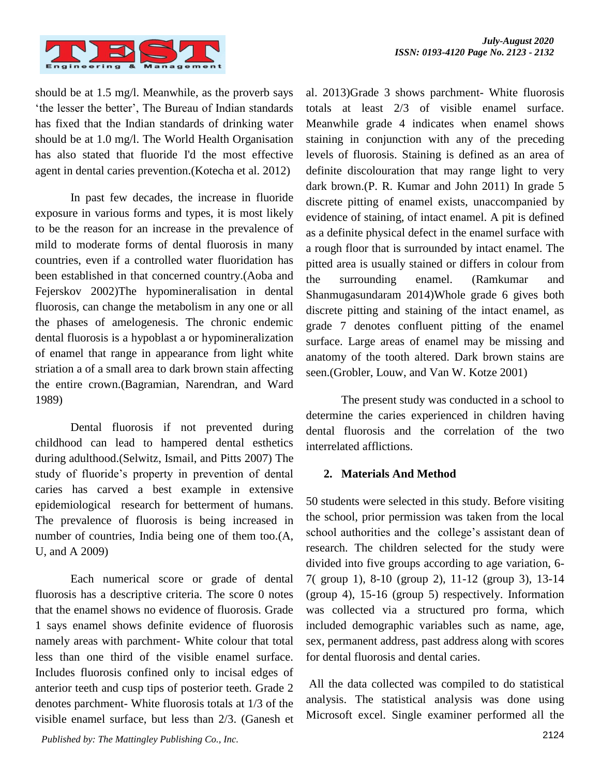

should be at 1.5 mg/l. Meanwhile, as the proverb says "the lesser the better", The Bureau of Indian standards has fixed that the Indian standards of drinking water should be at 1.0 mg/l. The World Health Organisation has also stated that fluoride I'd the most effective agent in dental caries prevention[.\(Kotecha et al. 2012\)](https://paperpile.com/c/g05Gp1/vpcb)

In past few decades, the increase in fluoride exposure in various forms and types, it is most likely to be the reason for an increase in the prevalence of mild to moderate forms of dental fluorosis in many countries, even if a controlled water fluoridation has been established in that concerned country[.\(Aoba and](https://paperpile.com/c/g05Gp1/k9SG)  [Fejerskov 2002\)T](https://paperpile.com/c/g05Gp1/k9SG)he hypomineralisation in dental fluorosis, can change the metabolism in any one or all the phases of amelogenesis. The chronic endemic dental fluorosis is a hypoblast a or hypomineralization of enamel that range in appearance from light white striation a of a small area to dark brown stain affecting the entire crown[.\(Bagramian, Narendran, and Ward](https://paperpile.com/c/g05Gp1/hC9q)  [1989\)](https://paperpile.com/c/g05Gp1/hC9q)

Dental fluorosis if not prevented during childhood can lead to hampered dental esthetics during adulthood[.\(Selwitz, Ismail, and Pitts 2007\)](https://paperpile.com/c/g05Gp1/fhIr) The study of fluoride"s property in prevention of dental caries has carved a best example in extensive epidemiological research for betterment of humans. The prevalence of fluorosis is being increased in number of countries, India being one of them too[.\(A,](https://paperpile.com/c/g05Gp1/mJx8)  [U, and A 2009\)](https://paperpile.com/c/g05Gp1/mJx8)

Each numerical score or grade of dental fluorosis has a descriptive criteria. The score 0 notes that the enamel shows no evidence of fluorosis. Grade 1 says enamel shows definite evidence of fluorosis namely areas with parchment- White colour that total less than one third of the visible enamel surface. Includes fluorosis confined only to incisal edges of anterior teeth and cusp tips of posterior teeth. Grade 2 denotes parchment- White fluorosis totals at 1/3 of the visible enamel surface, but less than 2/3. [\(Ganesh et](https://paperpile.com/c/g05Gp1/BnYd) 

[al. 2013\)G](https://paperpile.com/c/g05Gp1/BnYd)rade 3 shows parchment- White fluorosis totals at least 2/3 of visible enamel surface. Meanwhile grade 4 indicates when enamel shows staining in conjunction with any of the preceding levels of fluorosis. Staining is defined as an area of definite discolouration that may range light to very dark brown[.\(P. R. Kumar and John 2011\)](https://paperpile.com/c/g05Gp1/Gs1T) In grade 5 discrete pitting of enamel exists, unaccompanied by evidence of staining, of intact enamel. A pit is defined as a definite physical defect in the enamel surface with a rough floor that is surrounded by intact enamel. The pitted area is usually stained or differs in colour from the surrounding enamel. [\(Ramkumar and](https://paperpile.com/c/g05Gp1/RQaZ)  [Shanmugasundaram 2014\)W](https://paperpile.com/c/g05Gp1/RQaZ)hole grade 6 gives both discrete pitting and staining of the intact enamel, as grade 7 denotes confluent pitting of the enamel surface. Large areas of enamel may be missing and anatomy of the tooth altered. Dark brown stains are seen[.\(Grobler, Louw, and Van W. Kotze 2001\)](https://paperpile.com/c/g05Gp1/AwM7)

The present study was conducted in a school to determine the caries experienced in children having dental fluorosis and the correlation of the two interrelated afflictions.

## **2. Materials And Method**

50 students were selected in this study. Before visiting the school, prior permission was taken from the local school authorities and the college's assistant dean of research. The children selected for the study were divided into five groups according to age variation, 6- 7( group 1), 8-10 (group 2), 11-12 (group 3), 13-14 (group 4), 15-16 (group 5) respectively. Information was collected via a structured pro forma, which included demographic variables such as name, age, sex, permanent address, past address along with scores for dental fluorosis and dental caries.

All the data collected was compiled to do statistical analysis. The statistical analysis was done using Microsoft excel. Single examiner performed all the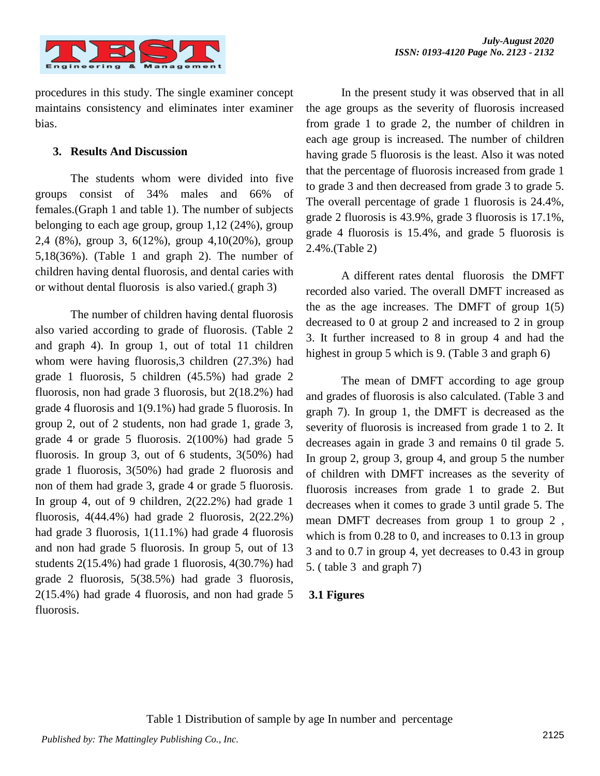

procedures in this study. The single examiner concept maintains consistency and eliminates inter examiner bias.

### **3. Results And Discussion**

The students whom were divided into five groups consist of 34% males and 66% of females.(Graph 1 and table 1). The number of subjects belonging to each age group, group 1,12 (24%), group 2,4 (8%), group 3, 6(12%), group 4,10(20%), group 5,18(36%). (Table 1 and graph 2). The number of children having dental fluorosis, and dental caries with or without dental fluorosis is also varied.( graph 3)

The number of children having dental fluorosis also varied according to grade of fluorosis. (Table 2 and graph 4). In group 1, out of total 11 children whom were having fluorosis, 3 children (27.3%) had grade 1 fluorosis, 5 children (45.5%) had grade 2 fluorosis, non had grade 3 fluorosis, but 2(18.2%) had grade 4 fluorosis and 1(9.1%) had grade 5 fluorosis. In group 2, out of 2 students, non had grade 1, grade 3, grade 4 or grade 5 fluorosis. 2(100%) had grade 5 fluorosis. In group 3, out of 6 students, 3(50%) had grade 1 fluorosis, 3(50%) had grade 2 fluorosis and non of them had grade 3, grade 4 or grade 5 fluorosis. In group 4, out of 9 children, 2(22.2%) had grade 1 fluorosis,  $4(44.4\%)$  had grade 2 fluorosis,  $2(22.2\%)$ had grade 3 fluorosis, 1(11.1%) had grade 4 fluorosis and non had grade 5 fluorosis. In group 5, out of 13 students 2(15.4%) had grade 1 fluorosis, 4(30.7%) had grade 2 fluorosis, 5(38.5%) had grade 3 fluorosis, 2(15.4%) had grade 4 fluorosis, and non had grade 5 fluorosis.

In the present study it was observed that in all the age groups as the severity of fluorosis increased from grade 1 to grade 2, the number of children in each age group is increased. The number of children having grade 5 fluorosis is the least. Also it was noted that the percentage of fluorosis increased from grade 1 to grade 3 and then decreased from grade 3 to grade 5. The overall percentage of grade 1 fluorosis is 24.4%, grade 2 fluorosis is 43.9%, grade 3 fluorosis is 17.1%, grade 4 fluorosis is 15.4%, and grade 5 fluorosis is 2.4%.(Table 2)

A different rates dental fluorosis the DMFT recorded also varied. The overall DMFT increased as the as the age increases. The DMFT of group  $1(5)$ decreased to 0 at group 2 and increased to 2 in group 3. It further increased to 8 in group 4 and had the highest in group 5 which is 9. (Table 3 and graph 6)

The mean of DMFT according to age group and grades of fluorosis is also calculated. (Table 3 and graph 7). In group 1, the DMFT is decreased as the severity of fluorosis is increased from grade 1 to 2. It decreases again in grade 3 and remains 0 til grade 5. In group 2, group 3, group 4, and group 5 the number of children with DMFT increases as the severity of fluorosis increases from grade 1 to grade 2. But decreases when it comes to grade 3 until grade 5. The mean DMFT decreases from group 1 to group 2 , which is from 0.28 to 0, and increases to 0.13 in group 3 and to 0.7 in group 4, yet decreases to 0.43 in group 5. ( table 3 and graph 7)

#### **3.1 Figures**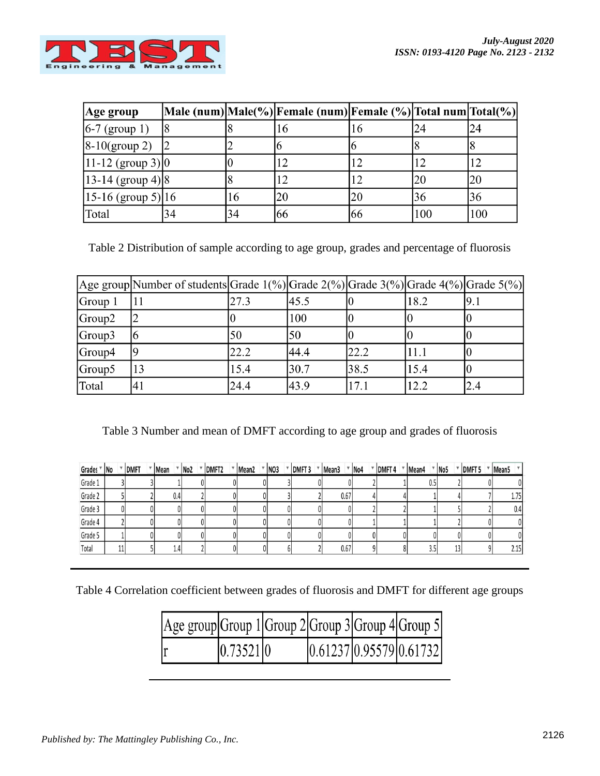

| Age group                          |    |    | Male (num) Male(%) Female (num) Female (%) Total num Total(%) |    |     |     |
|------------------------------------|----|----|---------------------------------------------------------------|----|-----|-----|
| $ 6-7 (group 1) $                  |    |    | 16                                                            | 16 | 24  | 24  |
| $\left 8-10\right(\text{group }2)$ |    |    |                                                               |    |     |     |
| $ 11-12 \text{ (group 3)} 0$       |    |    | 12                                                            |    | 12  |     |
| $ 13-14 \text{ (group 4)} 8$       |    |    | 12                                                            | 12 | 20  | 120 |
| $ 15-16$ (group 5) 16              |    | 16 | 20                                                            | 20 | 36  | 36  |
| Total                              | 34 | 34 | 66                                                            | 66 | 100 | 100 |

Table 2 Distribution of sample according to age group, grades and percentage of fluorosis

|         | Age group Number of students Grade $1\frac{(\%)}{\text{Grade}} 2\frac{(\%)}{\text{Grade}} 3\frac{(\%)}{\text{Grade}} 4\frac{(\%)}{\text{Grade}} 5\frac{(\%)}{\text{$ |      |      |      |      |     |
|---------|----------------------------------------------------------------------------------------------------------------------------------------------------------------------|------|------|------|------|-----|
| Group 1 |                                                                                                                                                                      | 27.3 | 45.5 |      | 18.2 | 9.1 |
| Group2  |                                                                                                                                                                      |      | 100  |      |      |     |
| Group3  |                                                                                                                                                                      | 50   | 50   |      |      |     |
| Group4  |                                                                                                                                                                      | 22.2 | 44.4 | 22.2 | 11.1 |     |
| Group5  | 13                                                                                                                                                                   | 15.4 | 30.7 | 38.5 | 15.4 |     |
| Total   | 41                                                                                                                                                                   | 24.4 | 43.9 | 17.1 | 12.2 | 2.4 |

Table 3 Number and mean of DMFT according to age group and grades of fluorosis

| Grades <sup>v</sup> No |    | ▼ DMFT | Mean |  | $\mathbb{R}$ No2 $\mathbb{R}$ DMFT2 | Mean2 | $\mathbb{R}$ NO3 | $\checkmark$ DMFT 3 $\checkmark$ Mean3 |      | $\mathbb{R}$ No4 | $\checkmark$ DMFT 4 $\checkmark$ Mean4 |     | $\mathbb{R}$ No5 | $\checkmark$ DMFT 5 $\checkmark$ Mean5 |      |
|------------------------|----|--------|------|--|-------------------------------------|-------|------------------|----------------------------------------|------|------------------|----------------------------------------|-----|------------------|----------------------------------------|------|
| Grade 1                |    |        |      |  |                                     |       |                  |                                        |      |                  |                                        | 0.5 |                  |                                        |      |
| Grade 2                |    |        | 0.4  |  |                                     |       |                  |                                        | 0.67 |                  |                                        |     |                  |                                        | l.75 |
| Grade 3                |    |        |      |  |                                     |       |                  |                                        |      |                  |                                        |     |                  |                                        | 0.4  |
| Grade 4                |    |        |      |  |                                     |       |                  |                                        |      |                  |                                        |     |                  |                                        |      |
| Grade 5                |    |        |      |  |                                     |       |                  |                                        |      |                  |                                        |     |                  |                                        |      |
| Total                  | 11 |        | 1.4  |  |                                     |       |                  |                                        | 0.67 |                  |                                        |     | 13               |                                        | 2.15 |

Table 4 Correlation coefficient between grades of fluorosis and DMFT for different age groups

| $ Age\ group Group\ 1 Group\ 2 Group\ 3 Group\ 4 Group\ 5 $ |           |  |                         |
|-------------------------------------------------------------|-----------|--|-------------------------|
|                                                             | 0.73521 0 |  | 0.61237 0.95579 0.61732 |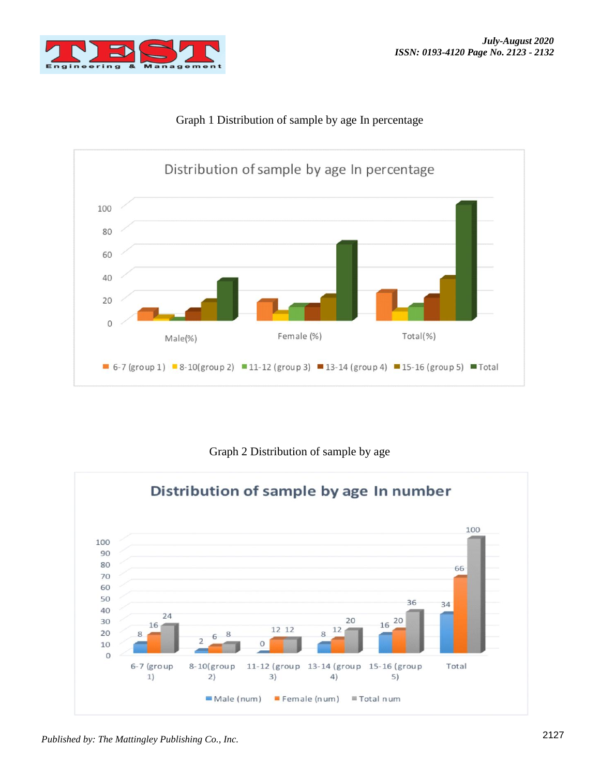





## Graph 2 Distribution of sample by age

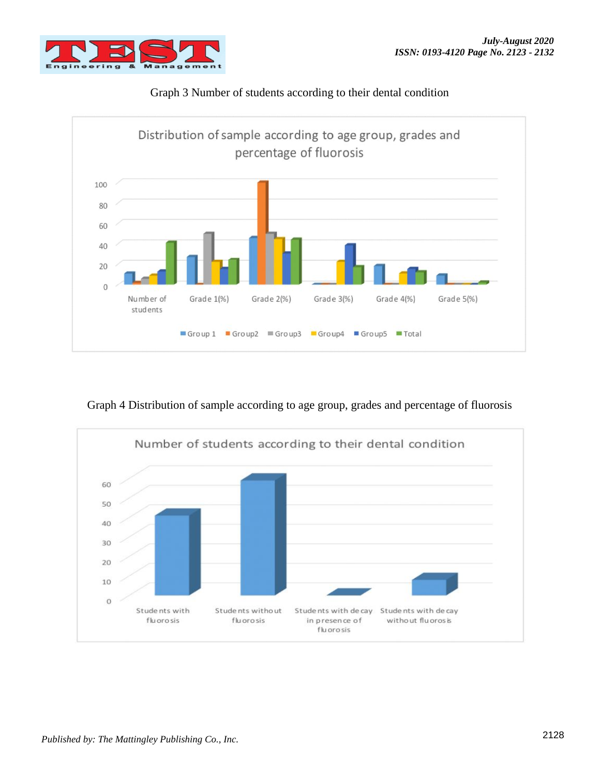





Graph 4 Distribution of sample according to age group, grades and percentage of fluorosis

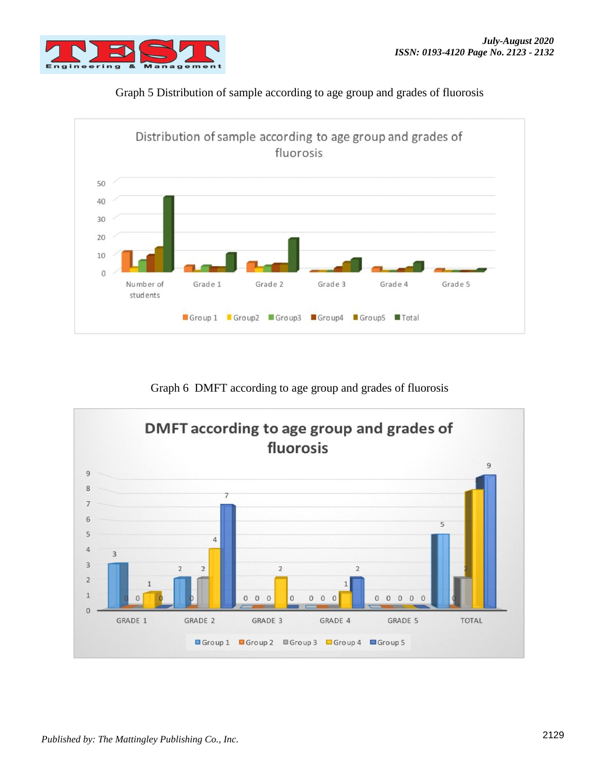## Graph 5 Distribution of sample according to age group and grades of fluorosis



Graph 6 DMFT according to age group and grades of fluorosis

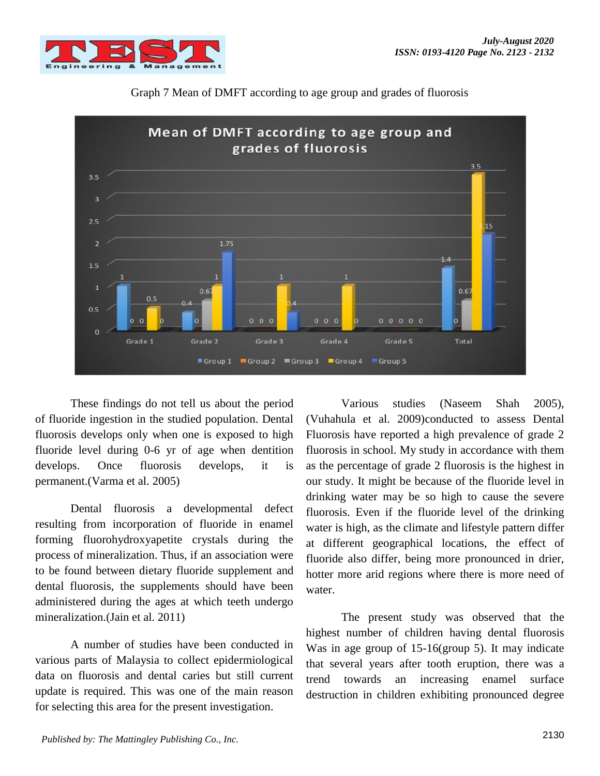



Graph 7 Mean of DMFT according to age group and grades of fluorosis

These findings do not tell us about the period of fluoride ingestion in the studied population. Dental fluorosis develops only when one is exposed to high fluoride level during 0-6 yr of age when dentition develops. Once fluorosis develops, it is permanent[.\(Varma et al. 2005\)](https://paperpile.com/c/g05Gp1/Jvc6)

Dental fluorosis a developmental defect resulting from incorporation of fluoride in enamel forming fluorohydroxyapetite crystals during the process of mineralization. Thus, if an association were to be found between dietary fluoride supplement and dental fluorosis, the supplements should have been administered during the ages at which teeth undergo mineralization[.\(Jain et al. 2011\)](https://paperpile.com/c/g05Gp1/HYDk)

A number of studies have been conducted in various parts of Malaysia to collect epidermiological data on fluorosis and dental caries but still current update is required. This was one of the main reason for selecting this area for the present investigation.

Various studies [\(Naseem Shah 2005\),](https://paperpile.com/c/g05Gp1/Aru5) [\(Vuhahula et al. 2009\)c](https://paperpile.com/c/g05Gp1/Z1LL)onducted to assess Dental Fluorosis have reported a high prevalence of grade 2 fluorosis in school. My study in accordance with them as the percentage of grade 2 fluorosis is the highest in our study. It might be because of the fluoride level in drinking water may be so high to cause the severe fluorosis. Even if the fluoride level of the drinking water is high, as the climate and lifestyle pattern differ at different geographical locations, the effect of fluoride also differ, being more pronounced in drier, hotter more arid regions where there is more need of water.

The present study was observed that the highest number of children having dental fluorosis Was in age group of 15-16(group 5). It may indicate that several years after tooth eruption, there was a trend towards an increasing enamel surface destruction in children exhibiting pronounced degree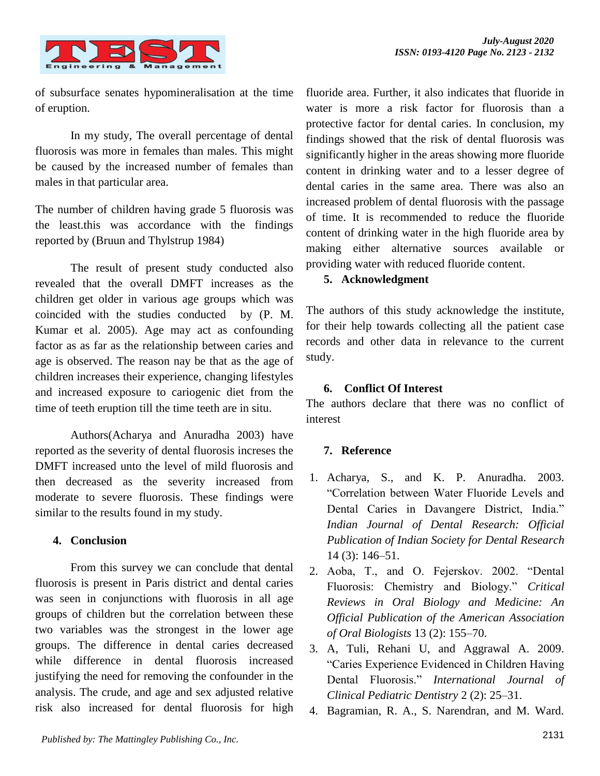

of subsurface senates hypomineralisation at the time of eruption.

In my study, The overall percentage of dental fluorosis was more in females than males. This might be caused by the increased number of females than males in that particular area.

The number of children having grade 5 fluorosis was the least.this was accordance with the findings reported by [\(Bruun and Thylstrup 1984\)](https://paperpile.com/c/g05Gp1/Rrgh)

The result of present study conducted also revealed that the overall DMFT increases as the children get older in various age groups which was coincided with the studies conducted by [\(P. M.](https://paperpile.com/c/g05Gp1/aueR)  [Kumar et al. 2005\).](https://paperpile.com/c/g05Gp1/aueR) Age may act as confounding factor as as far as the relationship between caries and age is observed. The reason nay be that as the age of children increases their experience, changing lifestyles and increased exposure to cariogenic diet from the time of teeth eruption till the time teeth are in situ.

Author[s\(Acharya and Anuradha 2003\)](https://paperpile.com/c/g05Gp1/CjAL) have reported as the severity of dental fluorosis increses the DMFT increased unto the level of mild fluorosis and then decreased as the severity increased from moderate to severe fluorosis. These findings were similar to the results found in my study.

## **4. Conclusion**

From this survey we can conclude that dental fluorosis is present in Paris district and dental caries was seen in conjunctions with fluorosis in all age groups of children but the correlation between these two variables was the strongest in the lower age groups. The difference in dental caries decreased while difference in dental fluorosis increased justifying the need for removing the confounder in the analysis. The crude, and age and sex adjusted relative risk also increased for dental fluorosis for high

fluoride area. Further, it also indicates that fluoride in water is more a risk factor for fluorosis than a protective factor for dental caries. In conclusion, my findings showed that the risk of dental fluorosis was significantly higher in the areas showing more fluoride content in drinking water and to a lesser degree of dental caries in the same area. There was also an increased problem of dental fluorosis with the passage of time. It is recommended to reduce the fluoride content of drinking water in the high fluoride area by making either alternative sources available or providing water with reduced fluoride content.

## **5. Acknowledgment**

The authors of this study acknowledge the institute, for their help towards collecting all the patient case records and other data in relevance to the current study.

## **6. Conflict Of Interest**

The authors declare that there was no conflict of interest

# **7. Reference**

- 1. [Acharya, S., and K. P. Anuradha. 2003.](http://paperpile.com/b/g05Gp1/CjAL)  ["Correlation between Water Fluoride Levels and](http://paperpile.com/b/g05Gp1/CjAL)  [Dental Caries in Davangere District, India."](http://paperpile.com/b/g05Gp1/CjAL)  *[Indian Journal of Dental Research: Official](http://paperpile.com/b/g05Gp1/CjAL)  Publication of Indian Society for Dental Researc[h](http://paperpile.com/b/g05Gp1/CjAL)* [14 \(3\): 146–51.](http://paperpile.com/b/g05Gp1/CjAL)
- 2. [Aoba, T., and O. Fejerskov. 2002. "Dental](http://paperpile.com/b/g05Gp1/k9SG)  [Fluorosis: Chemistry and Biology."](http://paperpile.com/b/g05Gp1/k9SG) *[Critical](http://paperpile.com/b/g05Gp1/k9SG)  Reviews in Oral Biology and Medicine: An Official Publication of the American Association of Oral Biologists* [13 \(2\): 155–70.](http://paperpile.com/b/g05Gp1/k9SG)
- 3. [A, Tuli, Rehani U, and Aggrawal A. 2009.](http://paperpile.com/b/g05Gp1/mJx8)  ["Caries Experience Evidenced in Children Having](http://paperpile.com/b/g05Gp1/mJx8)  [Dental Fluorosis."](http://paperpile.com/b/g05Gp1/mJx8) *[International Journal of](http://paperpile.com/b/g05Gp1/mJx8)  Clinical Pediatric Dentistry* [2 \(2\): 25–31.](http://paperpile.com/b/g05Gp1/mJx8)
- 4. [Bagramian, R. A., S. Narendran, and M. Ward.](http://paperpile.com/b/g05Gp1/hC9q)